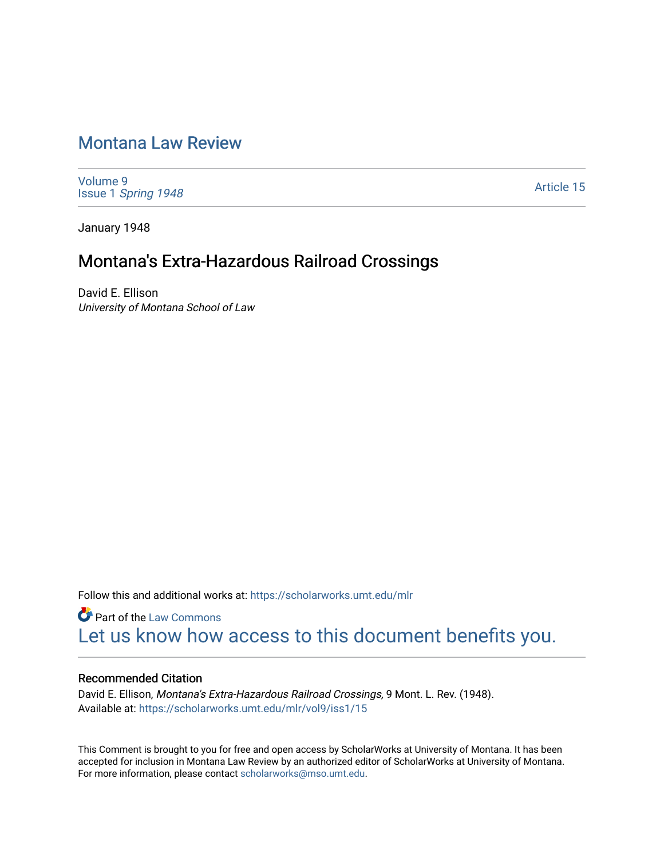## [Montana Law Review](https://scholarworks.umt.edu/mlr)

[Volume 9](https://scholarworks.umt.edu/mlr/vol9) Issue 1 [Spring 1948](https://scholarworks.umt.edu/mlr/vol9/iss1) 

[Article 15](https://scholarworks.umt.edu/mlr/vol9/iss1/15) 

January 1948

## Montana's Extra-Hazardous Railroad Crossings

David E. Ellison University of Montana School of Law

Follow this and additional works at: [https://scholarworks.umt.edu/mlr](https://scholarworks.umt.edu/mlr?utm_source=scholarworks.umt.edu%2Fmlr%2Fvol9%2Fiss1%2F15&utm_medium=PDF&utm_campaign=PDFCoverPages) 

**Part of the [Law Commons](http://network.bepress.com/hgg/discipline/578?utm_source=scholarworks.umt.edu%2Fmlr%2Fvol9%2Fiss1%2F15&utm_medium=PDF&utm_campaign=PDFCoverPages)** [Let us know how access to this document benefits you.](https://goo.gl/forms/s2rGfXOLzz71qgsB2) 

### Recommended Citation

David E. Ellison, Montana's Extra-Hazardous Railroad Crossings, 9 Mont. L. Rev. (1948). Available at: [https://scholarworks.umt.edu/mlr/vol9/iss1/15](https://scholarworks.umt.edu/mlr/vol9/iss1/15?utm_source=scholarworks.umt.edu%2Fmlr%2Fvol9%2Fiss1%2F15&utm_medium=PDF&utm_campaign=PDFCoverPages) 

This Comment is brought to you for free and open access by ScholarWorks at University of Montana. It has been accepted for inclusion in Montana Law Review by an authorized editor of ScholarWorks at University of Montana. For more information, please contact [scholarworks@mso.umt.edu.](mailto:scholarworks@mso.umt.edu)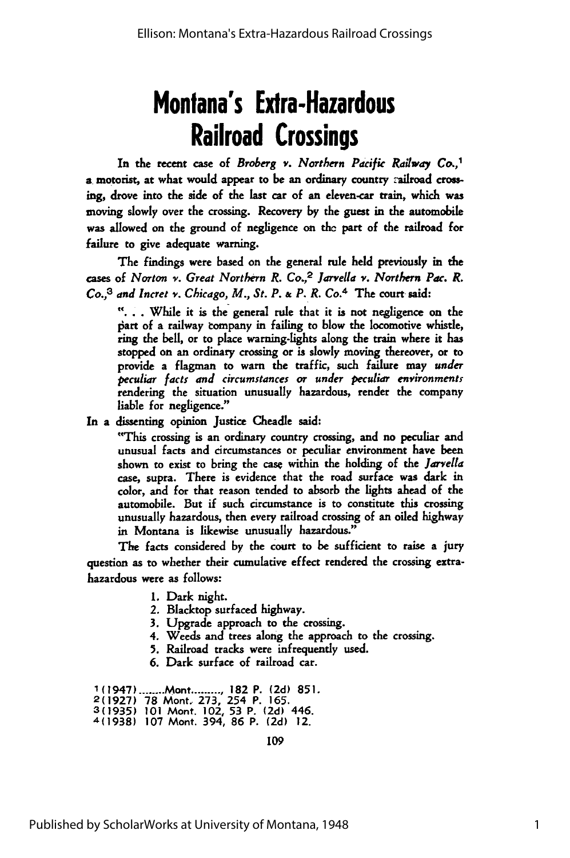# **Montana's Extra-Hazardous Railroad Crossings**

In the recent case of Broberg *v. Northern Pacific Railway Co.,1* a motorist, at what would appear to be an ordinary country ailroad crossing, drove into the side of the last car of an eleven-car train, which was moving slowly over the crossing. Recovery **by** the guest in the automobile was allowed on the ground of negligence on the part of the railroad for failure to give adequate warning.

The findings were based on the general rule held previously in the cases of *Norton v. Great Northern R. Co.,2* Jarvella v. *Northern Pac. R.* Co.,3 *and Incret v. Chicago, M., St. P. & P. R. Co.4* The court said:

**....** While it is the general rule that it is not negligence on the part of a railway tompany in failing to blow the locomotive whistle, ring the bell, or to place warning-lights along the train where it has stopped on an ordinary crossing or is slowly moving thereover, or to provide a flagman to warn the traffic, such failure may *under peculiar facts and circumstances or under peculiar environments* rendering the situation unusually hazardous, render the company liable for negligence."

In a dissenting opinion Justice Cheadle said:

"This crossing is an ordinary country crossing, and no peculiar and unusual facts and circumstances or peculiar environment have been shown to exist to bring the case within the holding of the *Jarvella* case, supra. There is evidence that the road surface was dark in color, and for that reason tended to absorb the lights ahead of the automobile. But if such circumstance is to constitute this crossing unusually hazardous, then every railroad crossing of an oiled highway in Montana is likewise unusually hazardous."

The facts considered by the court to be sufficient to raise a jury question as to whether their cumulative effect rendered the crossing extrahazardous were as follows:

- 1. Dark night.
- 2. Blacktop surfaced highway.
- 3. Upgrade approach to the crossing.
- 4. Weeds and trees along the approach to the crossing.
- 5. Railroad tracks were infrequently used.
- 6. Dark surface of railroad car.

1(1947) **........** Mont **.......... 182** P. **(2d) 851. 2(1927) 78** Mont. **273,** 254 P. 165.

**3(1935)** 101 Mont. 102, **53** P. (2d) 446. 4(1938) **107** Mont. 394, 86 P. **(2d)** 12.

**109**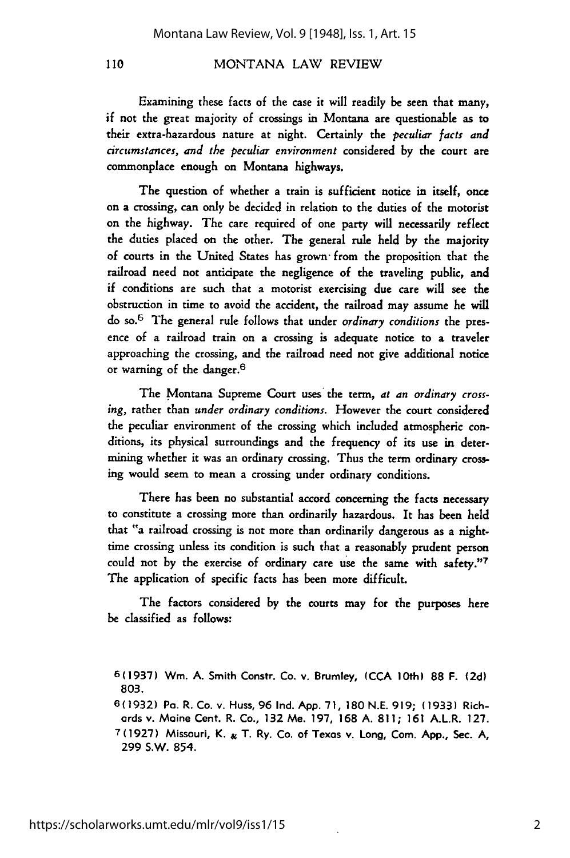110

### MONTANA LAW REVIEW

Examining these facts of the case it will readily be seen that many, if not the great majority of crossings in Montana are questionable as to their extra-hazardous nature at night. Certainly the *peculiar facts and circumstances, and the peculiar environment* considered by the court are commonplace enough on Montana highways.

The question of whether a train is sufficient notice in itself, once on a crossing, can only be decided in relation to the duties of the motorist on the highway. The care required of one party will necessarily reflect the duties placed on the other. The general rule held by the majority of courts in the United States has grown from the proposition that the railroad need not anticipate the negligence of the traveling public, and if conditions are such that a motorist exercising due care will see the obstruction in time to avoid the accident, the railroad may assume he will do so.6 The general rule follows that under *ordinary conditions* the presence of a railroad train on a crossing is adequate notice to a traveler approaching the crossing, and the railroad need not give additional notice or warning of the danger.6

The Montana Supreme Court uses the term, *at an ordinary crossing,* rather than *under ordinary conditions.* However the court considered the peculiar environment of the crossing which included atmospheric conditions, its physical surroundings and the frequency of its use in determining whether it was an ordinary crossing. Thus the term ordinary crossing would seem to mean a crossing under ordinary conditions.

There has been no substantial accord concerning the facts necessary to constitute a crossing more than ordinarily hazardous. It has been held that "a railroad crossing is not more than ordinarily dangerous as a nighttime crossing unless its condition is such that a reasonably prudent person could not by the exercise of ordinary care use the same with safety."7 The application of specific facts has been more difficult.

The factors considered by the courts may for the purposes here be classified as follows:

**<sup>6(1937)</sup> Wm. A.** Smith Constr. Co. v. Brumley, **(CCA 10th) 88** F. **(2d) 803.**

**<sup>6 (1932)</sup>** Pa. R. Co. v. Huss, **96** Ind. **App. 71, 180 N.E. 919; (1933)** Richards v. Maine Cent. R. Co., **132** Me. **197, 168 A. 811; 161** A.L.R. **127. 7(1927)** Missouri, K. **&** T. Ry. Co. of Texas v. Long, Com. **App.,** Sec. **A, 299** S.W. 854.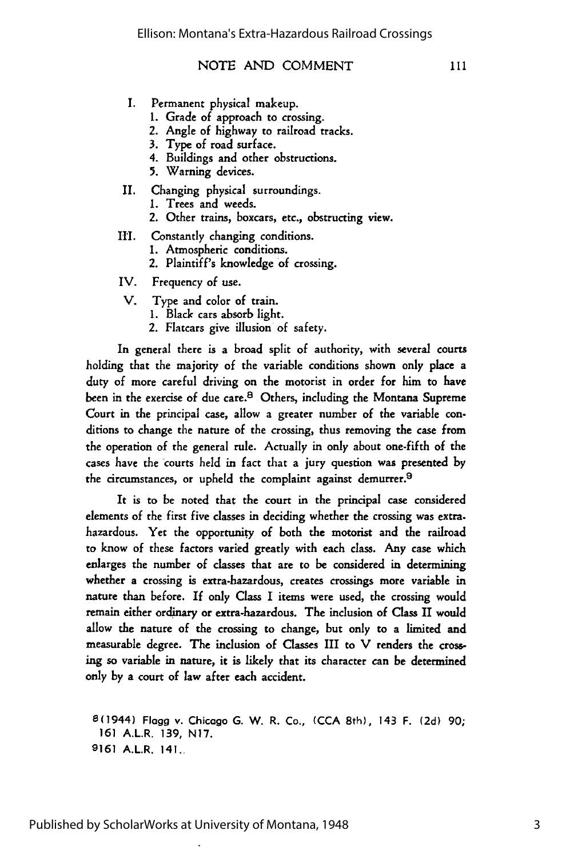- **I.** Permanent physical makeup.
	- **1.** Grade of approach to crossing.
	- 2. Angle of highway to railroad tracks.
	- 3. Type of road surface.
	- 4. Buildings and other obstructions.
	- 5. Warning devices.
- II. Changing physical surroundings.
	- 1. Trees and weeds.
	- 2. Other trains, boxcars, etc., obstructing view.
- Ill. Constantly changing conditions.
	- **1.** Atmospheric conditions.
	- 2. Plaintiff's knowledge of crossing.
- IV. Frequency of use.
- V. Type and color of train.
	- 1. Black cars absorb light.
	- 2. Flatcars give illusion of safety.

In general there is a broad split of authority, with several courts holding that the majority of the variable conditions shown only place a duty of more careful driving on the motorist in order for him to have been in the exercise of due care.<sup>8</sup> Others, including the Montana Supreme Court in the principal case, allow a greater number of the variable conditions to change the nature of the crossing, thus removing the case from the operation of the general rule. Actually in only about one-fifth of the cases have the courts held in fact that a jury question was presented by the circumstances, or upheld the complaint against demurrer.<sup>9</sup>

It is to be noted that the court in the principal case considered elements of the first five classes in deciding whether the crossing was extra. hazardous. Yet the opportunity of both the motorist and the railroad to know of these factors varied greatly with each class. Any case which enlarges the number of classes that are to be considered in determining whether a crossing is extra-hazardous, creates crossings more variable in nature than before. **If** only Class I items were used, the crossing would remain either ordinary or extra-hazardous. The inclusion of Class II would allow the nature of the crossing to change, but only to a limited and measurable degree. The inclusion of Classes III to V renders the crossing so variable in nature, it is likely that its character can be determined only by a court of law after each accident.

8(1944) **Flagg** v. Chicago G. W. R. Co., (CCA 8th), 143 F. **(2d) 90; 161** A.L.R. 139, **N17. 9161** A.L.R. 141..